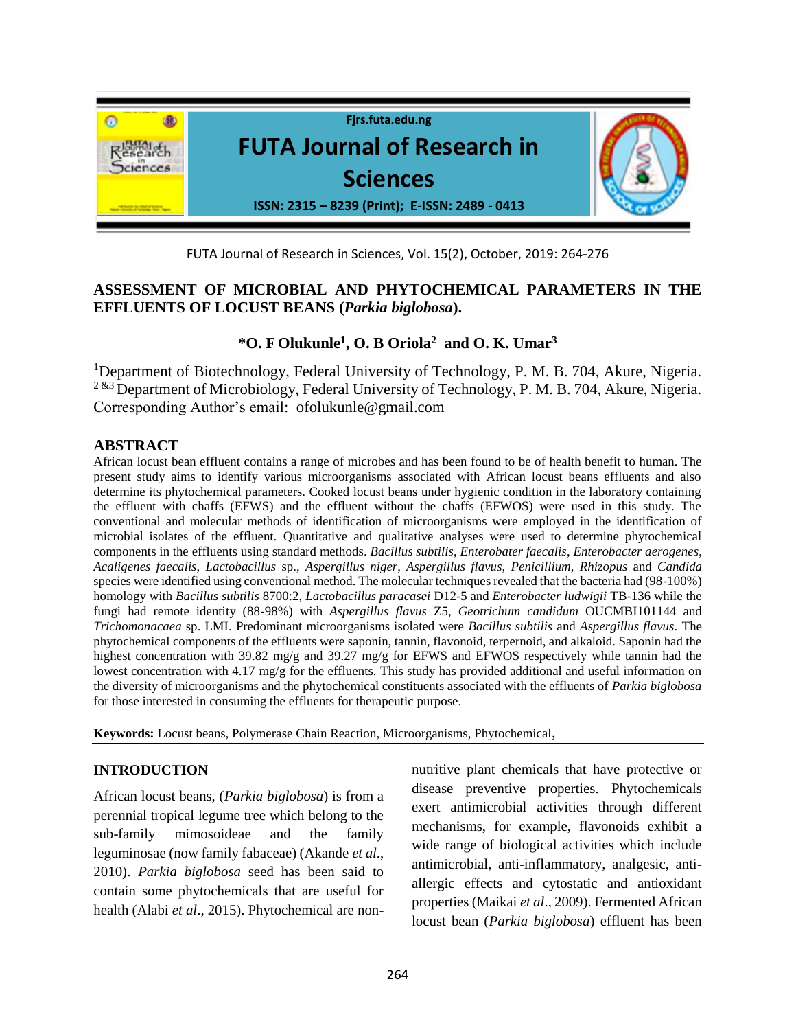

FUTA Journal of Research in Sciences, Vol. 15(2), October, 2019: 264-276

# **ASSESSMENT OF MICROBIAL AND PHYTOCHEMICAL PARAMETERS IN THE EFFLUENTS OF LOCUST BEANS (***Parkia biglobosa***).**

# **\*O. F Olukunle<sup>1</sup> , O. B Oriola<sup>2</sup>and O. K. Umar<sup>3</sup>**

<sup>1</sup>Department of Biotechnology, Federal University of Technology, P. M. B. 704, Akure, Nigeria. <sup>2 &3</sup> Department of Microbiology, Federal University of Technology, P. M. B. 704, Akure, Nigeria. Corresponding Author's email: ofolukunle@gmail.com

## **ABSTRACT**

African locust bean effluent contains a range of microbes and has been found to be of health benefit to human. The present study aims to identify various microorganisms associated with African locust beans effluents and also determine its phytochemical parameters. Cooked locust beans under hygienic condition in the laboratory containing the effluent with chaffs (EFWS) and the effluent without the chaffs (EFWOS) were used in this study. The conventional and molecular methods of identification of microorganisms were employed in the identification of microbial isolates of the effluent. Quantitative and qualitative analyses were used to determine phytochemical components in the effluents using standard methods. *Bacillus subtilis*, *Enterobater faecalis*, *Enterobacter aerogenes*, *Acaligenes faecalis*, *Lactobacillus* sp., *Aspergillus niger*, *Aspergillus flavus*, *Penicillium*, *Rhizopus* and *Candida*  species were identified using conventional method. The molecular techniques revealed that the bacteria had (98-100%) homology with *Bacillus subtilis* 8700:2, *Lactobacillus paracasei* D12-5 and *Enterobacter ludwigii* TB-136 while the fungi had remote identity (88-98%) with *Aspergillus flavus* Z5, *Geotrichum candidum* OUCMBI101144 and *Trichomonacaea* sp. LMI. Predominant microorganisms isolated were *Bacillus subtilis* and *Aspergillus flavus*. The phytochemical components of the effluents were saponin, tannin, flavonoid, terpernoid, and alkaloid. Saponin had the highest concentration with 39.82 mg/g and 39.27 mg/g for EFWS and EFWOS respectively while tannin had the lowest concentration with 4.17 mg/g for the effluents. This study has provided additional and useful information on the diversity of microorganisms and the phytochemical constituents associated with the effluents of *Parkia biglobosa* for those interested in consuming the effluents for therapeutic purpose.

**Keywords:** Locust beans, Polymerase Chain Reaction, Microorganisms, Phytochemical,

### **INTRODUCTION**

African locust beans, (*Parkia biglobosa*) is from a perennial tropical legume tree which belong to the sub-family mimosoideae and the family leguminosae (now family fabaceae) (Akande *et al*., 2010). *Parkia biglobosa* seed has been said to contain some phytochemicals that are useful for health (Alabi *et al*., 2015). Phytochemical are nonnutritive plant chemicals that have protective or disease preventive properties. Phytochemicals exert antimicrobial activities through different mechanisms, for example, flavonoids exhibit a wide range of biological activities which include antimicrobial, anti-inflammatory, analgesic, antiallergic effects and cytostatic and antioxidant properties (Maikai *et al*., 2009). Fermented African locust bean (*Parkia biglobosa*) effluent has been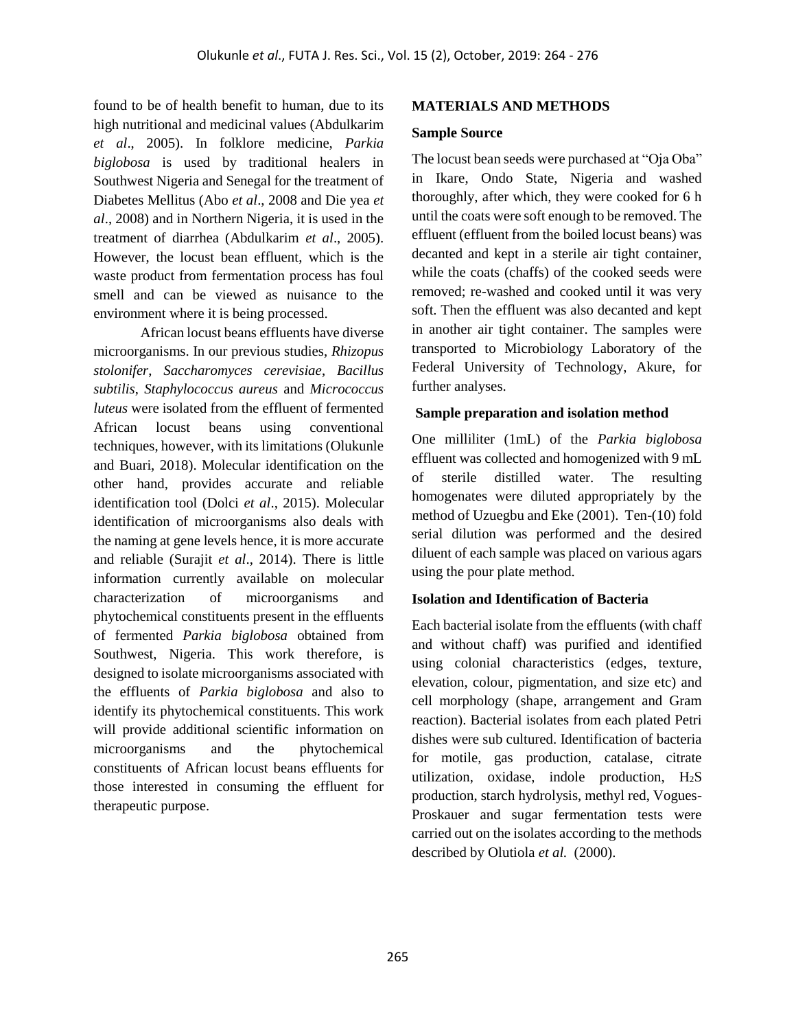found to be of health benefit to human, due to its high nutritional and medicinal values (Abdulkarim *et al*., 2005). In folklore medicine, *Parkia biglobosa* is used by traditional healers in Southwest Nigeria and Senegal for the treatment of Diabetes Mellitus (Abo *et al*., 2008 and Die yea *et al*., 2008) and in Northern Nigeria, it is used in the treatment of diarrhea (Abdulkarim *et al*., 2005). However, the locust bean effluent, which is the waste product from fermentation process has foul smell and can be viewed as nuisance to the environment where it is being processed.

African locust beans effluents have diverse microorganisms. In our previous studies, *Rhizopus stolonifer*, *Saccharomyces cerevisiae*, *Bacillus subtilis*, *Staphylococcus aureus* and *Micrococcus luteus* were isolated from the effluent of fermented African locust beans using conventional techniques, however, with its limitations (Olukunle and Buari, 2018). Molecular identification on the other hand, provides accurate and reliable identification tool (Dolci *et al*., 2015). Molecular identification of microorganisms also deals with the naming at gene levels hence, it is more accurate and reliable (Surajit *et al*., 2014). There is little information currently available on molecular characterization of microorganisms and phytochemical constituents present in the effluents of fermented *Parkia biglobosa* obtained from Southwest, Nigeria. This work therefore, is designed to isolate microorganisms associated with the effluents of *Parkia biglobosa* and also to identify its phytochemical constituents. This work will provide additional scientific information on microorganisms and the phytochemical constituents of African locust beans effluents for those interested in consuming the effluent for therapeutic purpose.

### **MATERIALS AND METHODS**

#### **Sample Source**

The locust bean seeds were purchased at "Oja Oba" in Ikare, Ondo State, Nigeria and washed thoroughly, after which, they were cooked for 6 h until the coats were soft enough to be removed. The effluent (effluent from the boiled locust beans) was decanted and kept in a sterile air tight container, while the coats (chaffs) of the cooked seeds were removed; re-washed and cooked until it was very soft. Then the effluent was also decanted and kept in another air tight container. The samples were transported to Microbiology Laboratory of the Federal University of Technology, Akure, for further analyses.

### **Sample preparation and isolation method**

One milliliter (1mL) of the *Parkia biglobosa*  effluent was collected and homogenized with 9 mL of sterile distilled water. The resulting homogenates were diluted appropriately by the method of Uzuegbu and Eke (2001). Ten-(10) fold serial dilution was performed and the desired diluent of each sample was placed on various agars using the pour plate method.

### **Isolation and Identification of Bacteria**

Each bacterial isolate from the effluents (with chaff and without chaff) was purified and identified using colonial characteristics (edges, texture, elevation, colour, pigmentation, and size etc) and cell morphology (shape, arrangement and Gram reaction). Bacterial isolates from each plated Petri dishes were sub cultured. Identification of bacteria for motile, gas production, catalase, citrate utilization, oxidase, indole production, H2S production, starch hydrolysis, methyl red, Vogues-Proskauer and sugar fermentation tests were carried out on the isolates according to the methods described by Olutiola *et al.* (2000).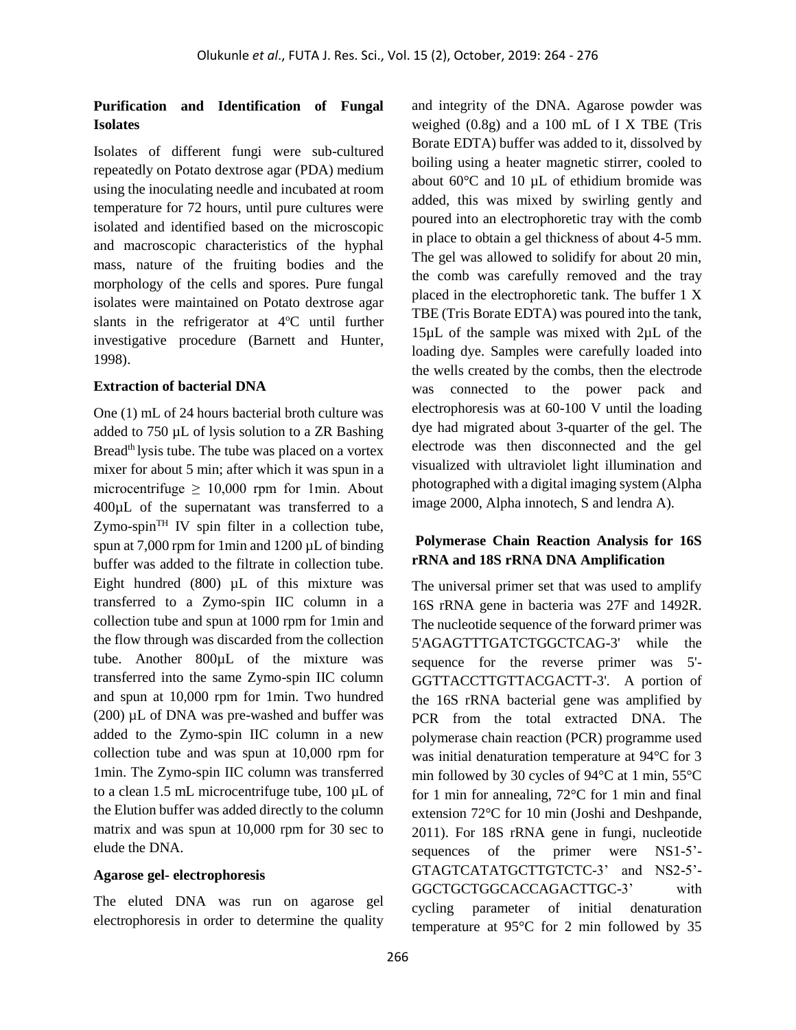### **Purification and Identification of Fungal Isolates**

Isolates of different fungi were sub-cultured repeatedly on Potato dextrose agar (PDA) medium using the inoculating needle and incubated at room temperature for 72 hours, until pure cultures were isolated and identified based on the microscopic and macroscopic characteristics of the hyphal mass, nature of the fruiting bodies and the morphology of the cells and spores. Pure fungal isolates were maintained on Potato dextrose agar slants in the refrigerator at  $4^{\circ}$ C until further investigative procedure (Barnett and Hunter, 1998).

#### **Extraction of bacterial DNA**

One (1) mL of 24 hours bacterial broth culture was added to 750 µL of lysis solution to a ZR Bashing Bread<sup>th</sup> lysis tube. The tube was placed on a vortex mixer for about 5 min; after which it was spun in a microcentrifuge  $\geq 10,000$  rpm for 1min. About 400µL of the supernatant was transferred to a  $Zymo-spin<sup>TH</sup> IV spin filter in a collection tube,$ spun at  $7.000$  rpm for 1min and  $1200 \mu L$  of binding buffer was added to the filtrate in collection tube. Eight hundred  $(800)$  µL of this mixture was transferred to a Zymo-spin IIC column in a collection tube and spun at 1000 rpm for 1min and the flow through was discarded from the collection tube. Another 800µL of the mixture was transferred into the same Zymo-spin IIC column and spun at 10,000 rpm for 1min. Two hundred (200) µL of DNA was pre-washed and buffer was added to the Zymo-spin IIC column in a new collection tube and was spun at 10,000 rpm for 1min. The Zymo-spin IIC column was transferred to a clean 1.5 mL microcentrifuge tube, 100 µL of the Elution buffer was added directly to the column matrix and was spun at 10,000 rpm for 30 sec to elude the DNA.

#### **Agarose gel- electrophoresis**

The eluted DNA was run on agarose gel electrophoresis in order to determine the quality

and integrity of the DNA. Agarose powder was weighed  $(0.8g)$  and a 100 mL of I X TBE (Tris Borate EDTA) buffer was added to it, dissolved by boiling using a heater magnetic stirrer, cooled to about 60°C and 10 µL of ethidium bromide was added, this was mixed by swirling gently and poured into an electrophoretic tray with the comb in place to obtain a gel thickness of about 4-5 mm. The gel was allowed to solidify for about 20 min, the comb was carefully removed and the tray placed in the electrophoretic tank. The buffer 1 X TBE (Tris Borate EDTA) was poured into the tank, 15µL of the sample was mixed with 2µL of the loading dye. Samples were carefully loaded into the wells created by the combs, then the electrode was connected to the power pack and electrophoresis was at 60-100 V until the loading dye had migrated about 3-quarter of the gel. The electrode was then disconnected and the gel visualized with ultraviolet light illumination and photographed with a digital imaging system (Alpha image 2000, Alpha innotech, S and lendra A).

### **Polymerase Chain Reaction Analysis for 16S rRNA and 18S rRNA DNA Amplification**

The universal primer set that was used to amplify 16S rRNA gene in bacteria was 27F and 1492R. The nucleotide sequence of the forward primer was 5'AGAGTTTGATCTGGCTCAG-3' while the sequence for the reverse primer was 5'- GGTTACCTTGTTACGACTT-3'. A portion of the 16S rRNA bacterial gene was amplified by PCR from the total extracted DNA. The polymerase chain reaction (PCR) programme used was initial denaturation temperature at 94°C for 3 min followed by 30 cycles of 94°C at 1 min, 55°C for 1 min for annealing, 72°C for 1 min and final extension 72°C for 10 min (Joshi and Deshpande, 2011). For 18S rRNA gene in fungi, nucleotide sequences of the primer were NS1-5'- GTAGTCATATGCTTGTCTC-3' and NS2-5'- GGCTGCTGGCACCAGACTTGC-3' with cycling parameter of initial denaturation temperature at 95°C for 2 min followed by 35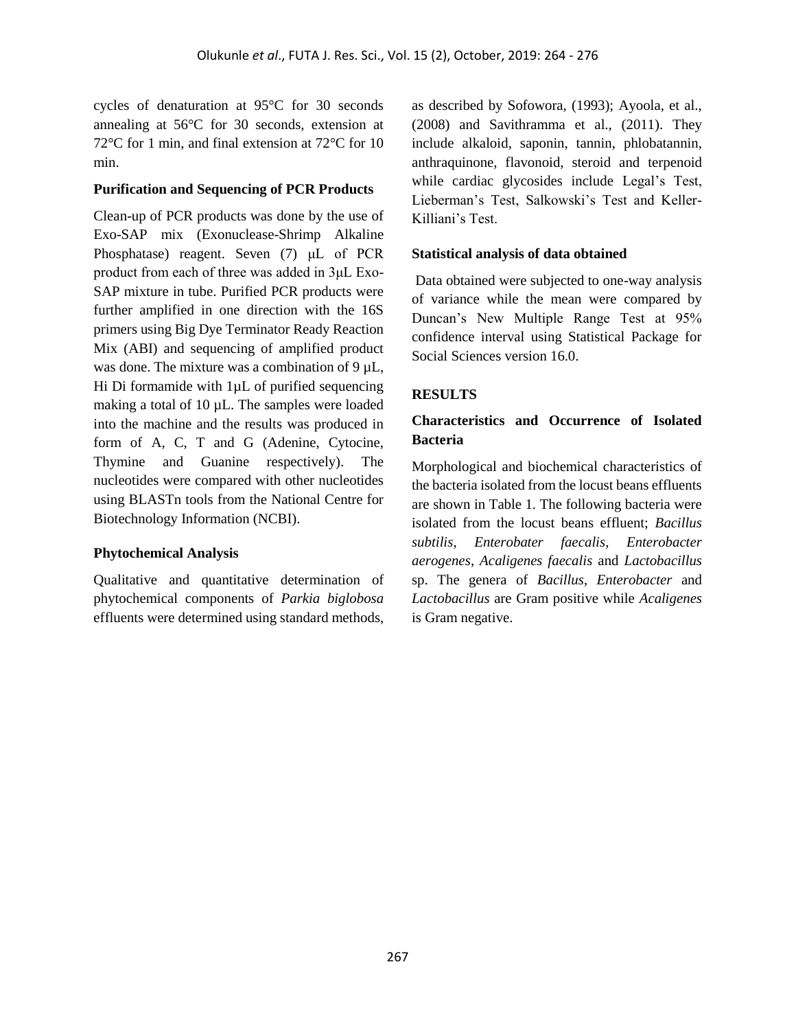cycles of denaturation at 95°C for 30 seconds annealing at 56°C for 30 seconds, extension at 72°C for 1 min, and final extension at 72°C for 10 min.

#### **Purification and Sequencing of PCR Products**

Clean-up of PCR products was done by the use of Exo-SAP mix (Exonuclease-Shrimp Alkaline Phosphatase) reagent. Seven (7) μL of PCR product from each of three was added in 3μL Exo-SAP mixture in tube. Purified PCR products were further amplified in one direction with the 16S primers using Big Dye Terminator Ready Reaction Mix (ABI) and sequencing of amplified product was done. The mixture was a combination of 9  $\mu$ L, Hi Di formamide with 1µL of purified sequencing making a total of 10 µL. The samples were loaded into the machine and the results was produced in form of A, C, T and G (Adenine, Cytocine, Thymine and Guanine respectively). The nucleotides were compared with other nucleotides using BLASTn tools from the National Centre for Biotechnology Information (NCBI).

### **Phytochemical Analysis**

Qualitative and quantitative determination of phytochemical components of *Parkia biglobosa*  effluents were determined using standard methods, as described by Sofowora, (1993); Ayoola, et al., (2008) and Savithramma et al., (2011). They include alkaloid, saponin, tannin, phlobatannin, anthraquinone, flavonoid, steroid and terpenoid while cardiac glycosides include Legal's Test, Lieberman's Test, Salkowski's Test and Keller-Killiani's Test.

#### **Statistical analysis of data obtained**

Data obtained were subjected to one-way analysis of variance while the mean were compared by Duncan's New Multiple Range Test at 95% confidence interval using Statistical Package for Social Sciences version 16.0.

### **RESULTS**

## **Characteristics and Occurrence of Isolated Bacteria**

Morphological and biochemical characteristics of the bacteria isolated from the locust beans effluents are shown in Table 1. The following bacteria were isolated from the locust beans effluent; *Bacillus subtilis*, *Enterobater faecalis*, *Enterobacter aerogenes*, *Acaligenes faecalis* and *Lactobacillus*  sp. The genera of *Bacillus*, *Enterobacter* and *Lactobacillus* are Gram positive while *Acaligenes* is Gram negative.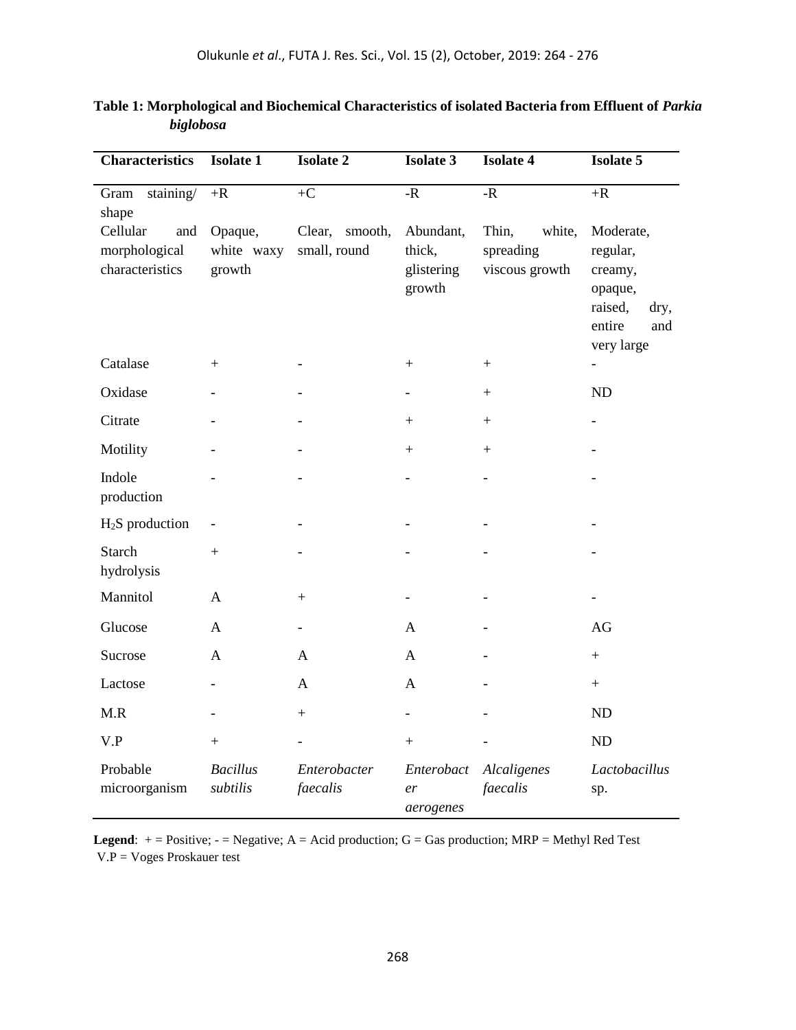| <b>Characteristics</b>                              | <b>Isolate 1</b>                | <b>Isolate 2</b>                  | <b>Isolate 3</b>                            | <b>Isolate 4</b>                               | <b>Isolate 5</b>                                                                              |  |  |
|-----------------------------------------------------|---------------------------------|-----------------------------------|---------------------------------------------|------------------------------------------------|-----------------------------------------------------------------------------------------------|--|--|
| staining/<br>Gram<br>shape                          | $+{\bf R}$                      | $+C$                              | - $\mathbf R$                               | - $\mathbf R$                                  | $+{\bf R}$                                                                                    |  |  |
| Cellular<br>and<br>morphological<br>characteristics | Opaque,<br>white waxy<br>growth | Clear,<br>smooth,<br>small, round | Abundant,<br>thick,<br>glistering<br>growth | Thin,<br>white,<br>spreading<br>viscous growth | Moderate,<br>regular,<br>creamy,<br>opaque,<br>raised,<br>dry,<br>entire<br>and<br>very large |  |  |
| Catalase                                            | $+$                             |                                   | $+$                                         | $+$                                            |                                                                                               |  |  |
| Oxidase                                             |                                 |                                   |                                             |                                                | ND                                                                                            |  |  |
| Citrate                                             |                                 |                                   | $+$                                         | $+$                                            |                                                                                               |  |  |
| Motility                                            |                                 |                                   |                                             |                                                |                                                                                               |  |  |
| Indole<br>production                                |                                 |                                   |                                             | $\overline{\phantom{0}}$                       |                                                                                               |  |  |
| $H2S$ production                                    |                                 |                                   |                                             |                                                |                                                                                               |  |  |
| Starch<br>hydrolysis                                | $+$                             |                                   |                                             |                                                |                                                                                               |  |  |
| Mannitol                                            | $\mathbf{A}$                    | $\qquad \qquad +$                 |                                             |                                                |                                                                                               |  |  |
| Glucose                                             | $\mathbf{A}$                    |                                   | $\mathbf{A}$                                |                                                | AG                                                                                            |  |  |
| Sucrose                                             | A                               | $\mathbf{A}$                      | A                                           |                                                | $\pm$                                                                                         |  |  |
| Lactose                                             | $\overline{a}$                  | $\mathbf{A}$                      | $\mathbf{A}$                                |                                                | $+$                                                                                           |  |  |
| M.R                                                 |                                 | $+$                               | $\overline{\phantom{0}}$                    |                                                | ND                                                                                            |  |  |
| V.P                                                 | $+$                             | $\overline{\phantom{0}}$          | $^{+}$                                      |                                                | ND                                                                                            |  |  |
| Probable<br>microorganism                           | <b>Bacillus</b><br>subtilis     | Enterobacter<br>faecalis          | Enterobact<br>er<br>aerogenes               | Alcaligenes<br>faecalis                        | Lactobacillus<br>sp.                                                                          |  |  |

**Table 1: Morphological and Biochemical Characteristics of isolated Bacteria from Effluent of** *Parkia biglobosa*

**Legend**:  $+=$  Positive;  $-$  = Negative; A = Acid production; G = Gas production; MRP = Methyl Red Test V.P = Voges Proskauer test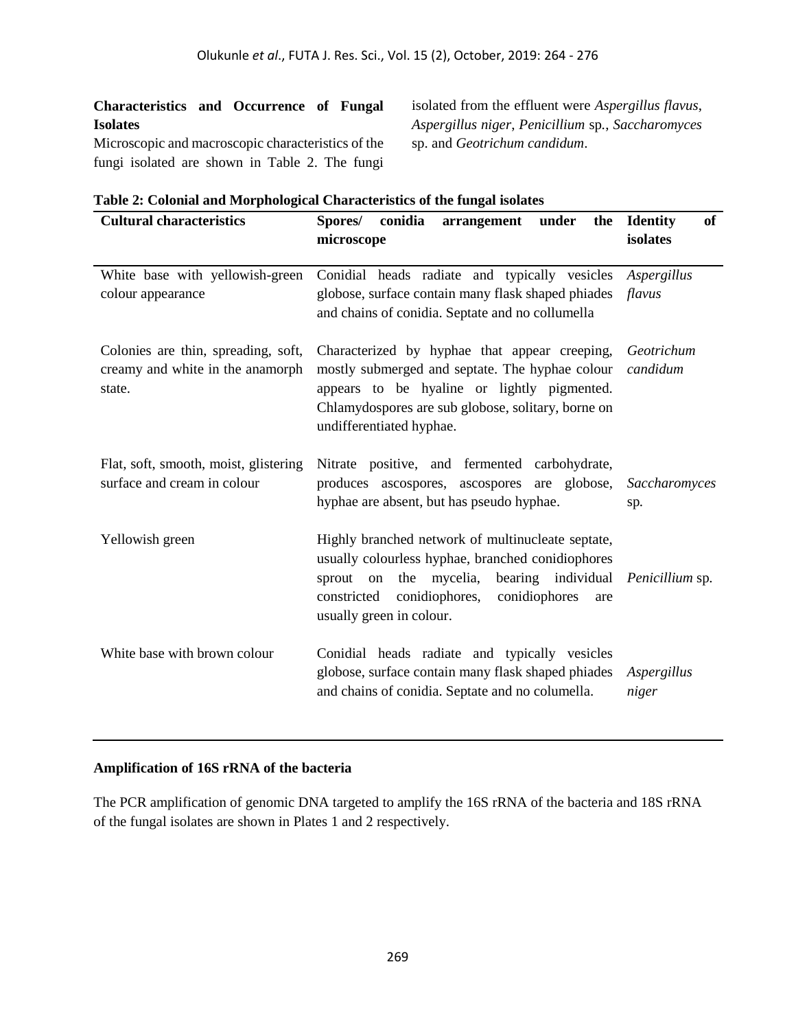## **Characteristics and Occurrence of Fungal Isolates**

sp. and *Geotrichum candidum*.

Microscopic and macroscopic characteristics of the fungi isolated are shown in Table 2. The fungi

| isolated from the effluent were <i>Aspergillus flavus</i> , |
|-------------------------------------------------------------|
| Aspergillus niger, Penicillium sp., Saccharomyces           |
| on and Cootrichum candidum                                  |

| <b>Cultural characteristics</b>                                                   | conidia<br>Spores/<br>under<br>the<br>arrangement                                                                                                                                                                                           | of<br><b>Identity</b>  |
|-----------------------------------------------------------------------------------|---------------------------------------------------------------------------------------------------------------------------------------------------------------------------------------------------------------------------------------------|------------------------|
|                                                                                   | microscope                                                                                                                                                                                                                                  | isolates               |
| White base with yellowish-green<br>colour appearance                              | Conidial heads radiate and typically vesicles<br>globose, surface contain many flask shaped phiades<br>and chains of conidia. Septate and no collumella                                                                                     | Aspergillus<br>flavus  |
| Colonies are thin, spreading, soft,<br>creamy and white in the anamorph<br>state. | Characterized by hyphae that appear creeping,<br>mostly submerged and septate. The hyphae colour<br>appears to be hyaline or lightly pigmented.<br>Chlamydospores are sub globose, solitary, borne on<br>undifferentiated hyphae.           | Geotrichum<br>candidum |
| Flat, soft, smooth, moist, glistering<br>surface and cream in colour              | Nitrate positive, and fermented carbohydrate,<br>produces ascospores, ascospores are globose,<br>hyphae are absent, but has pseudo hyphae.                                                                                                  | Saccharomyces<br>sp.   |
| Yellowish green                                                                   | Highly branched network of multinucleate septate,<br>usually colourless hyphae, branched conidiophores<br>bearing individual<br>on the mycelia,<br>sprout<br>constricted conidiophores,<br>conidiophores<br>are<br>usually green in colour. | Penicillium sp.        |
| White base with brown colour                                                      | Conidial heads radiate and typically vesicles<br>globose, surface contain many flask shaped phiades<br>and chains of conidia. Septate and no columella.                                                                                     | Aspergillus<br>niger   |

### **Table 2: Colonial and Morphological Characteristics of the fungal isolates**

### **Amplification of 16S rRNA of the bacteria**

The PCR amplification of genomic DNA targeted to amplify the 16S rRNA of the bacteria and 18S rRNA of the fungal isolates are shown in Plates 1 and 2 respectively.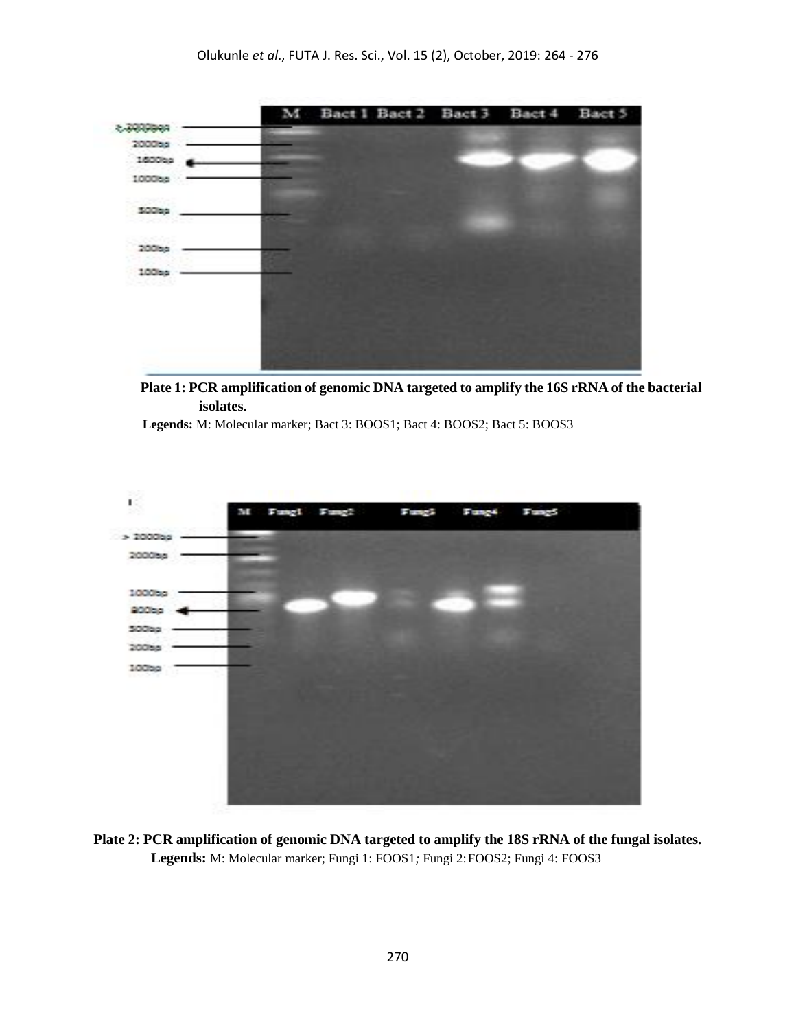

**Plate 1: PCR amplification of genomic DNA targeted to amplify the 16S rRNA of the bacterial isolates.**

 **Legends:** M: Molecular marker; Bact 3: BOOS1; Bact 4: BOOS2; Bact 5: BOOS3



**Plate 2: PCR amplification of genomic DNA targeted to amplify the 18S rRNA of the fungal isolates. Legends:** M: Molecular marker; Fungi 1: FOOS1*;* Fungi 2:FOOS2; Fungi 4: FOOS3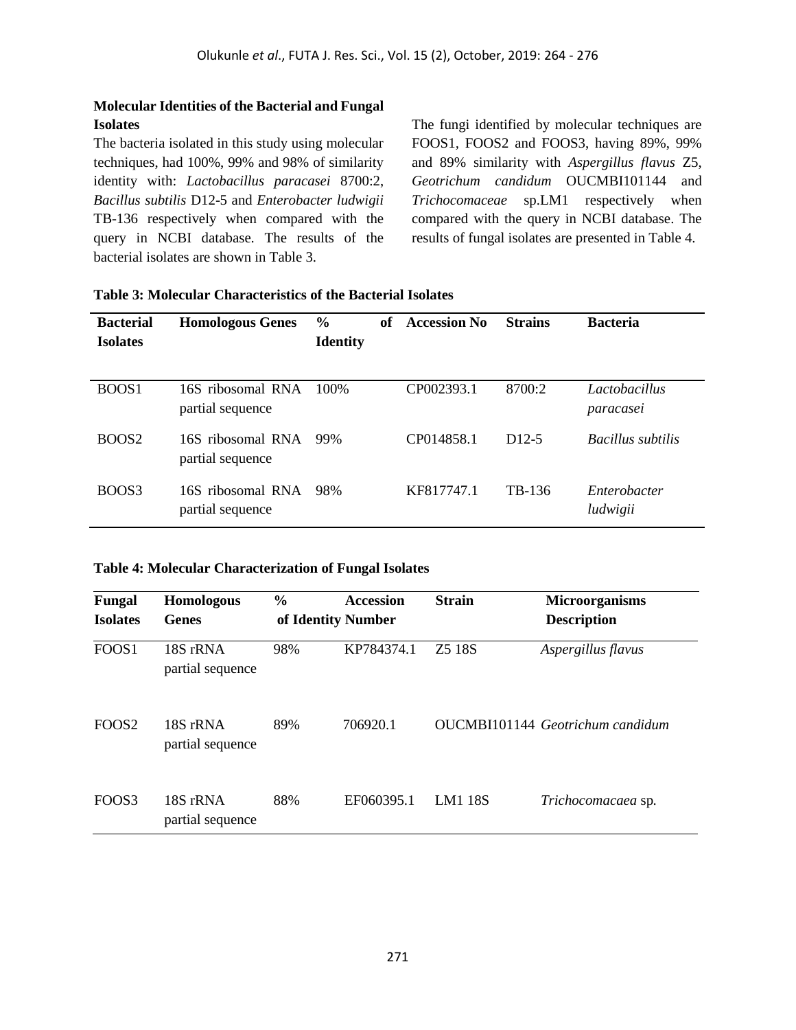### **Molecular Identities of the Bacterial and Fungal Isolates**

The bacteria isolated in this study using molecular techniques, had 100%, 99% and 98% of similarity identity with: *Lactobacillus paracasei* 8700:2, *Bacillus subtilis* D12-5 and *Enterobacter ludwigii*  TB-136 respectively when compared with the query in NCBI database. The results of the bacterial isolates are shown in Table 3.

The fungi identified by molecular techniques are FOOS1*,* FOOS2 and FOOS3, having 89%, 99% and 89% similarity with *Aspergillus flavus* Z5, *Geotrichum candidum* OUCMBI101144 and *Trichocomaceae* sp.LM1 respectively when compared with the query in NCBI database. The results of fungal isolates are presented in Table 4.

| <b>Bacterial</b><br><b>Isolates</b> | <b>Homologous Genes</b>               | $\frac{0}{0}$<br><b>Identity</b> | of | <b>Accession No</b> | <b>Strains</b> | <b>Bacteria</b>            |
|-------------------------------------|---------------------------------------|----------------------------------|----|---------------------|----------------|----------------------------|
| BOOS1                               | 16S ribosomal RNA<br>partial sequence | 100\%                            |    | CP002393.1          | 8700:2         | Lactobacillus<br>paracasei |
| BOOS <sub>2</sub>                   | 16S ribosomal RNA<br>partial sequence | 99%                              |    | CP014858.1          | $D12-5$        | <i>Bacillus subtilis</i>   |
| BOOS3                               | 16S ribosomal RNA<br>partial sequence | 98%                              |    | KF817747.1          | TB-136         | Enterobacter<br>ludwigii   |

### **Table 3: Molecular Characteristics of the Bacterial Isolates**

#### **Table 4: Molecular Characterization of Fungal Isolates**

| Fungal<br><b>Isolates</b> | Homologous<br><b>Genes</b>   | $\frac{0}{0}$<br>of Identity Number | <b>Accession</b> | <b>Strain</b>                  | <b>Microorganisms</b><br><b>Description</b> |
|---------------------------|------------------------------|-------------------------------------|------------------|--------------------------------|---------------------------------------------|
| FOOS1                     | 18S rRNA<br>partial sequence | 98%                                 | KP784374.1       | Z <sub>5</sub> 18 <sub>S</sub> | Aspergillus flavus                          |
| FOOS <sub>2</sub>         | 18S rRNA<br>partial sequence | 89%                                 | 706920.1         |                                | OUCMBI101144 Geotrichum candidum            |
| FOOS3                     | 18S rRNA<br>partial sequence | 88%                                 | EF060395.1       | <b>LM1 18S</b>                 | Trichocomacaea sp.                          |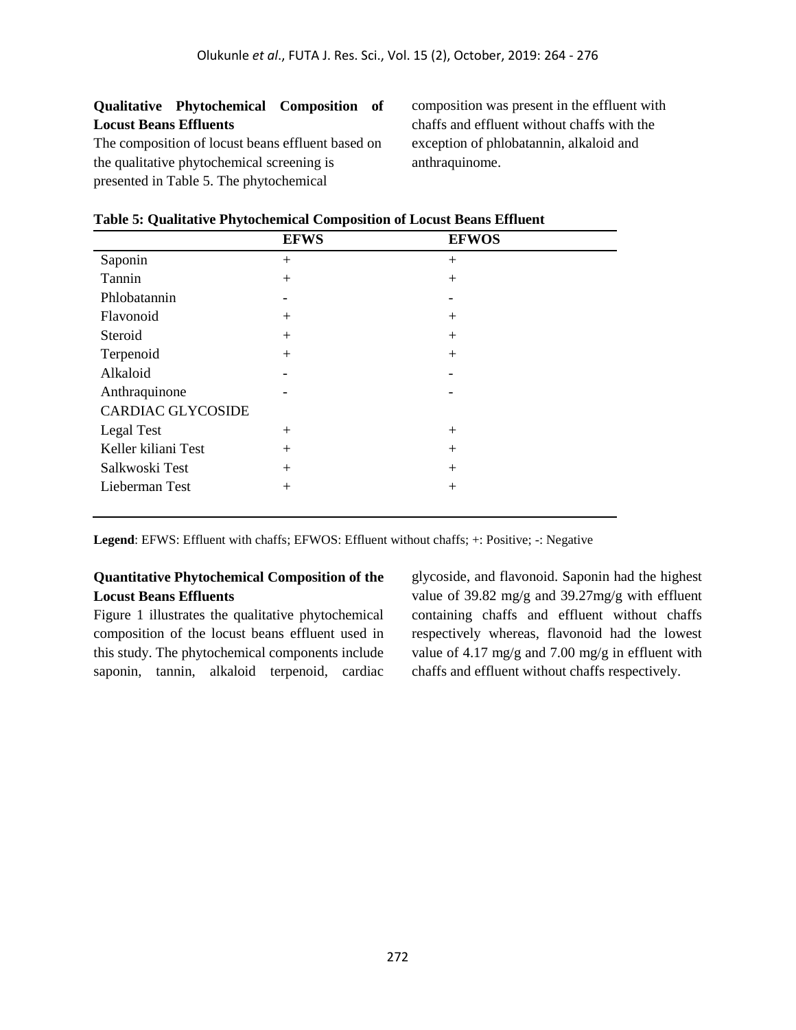### **Qualitative Phytochemical Composition of Locust Beans Effluents**

The composition of locust beans effluent based on the qualitative phytochemical screening is presented in Table 5. The phytochemical

Alkaloid

Anthraquinone

CARDIAC GLYCOSIDE

composition was present in the effluent with chaffs and effluent without chaffs with the exception of phlobatannin, alkaloid and anthraquinome.

|              | <b>EFWS</b>     | <b>EFWOS</b>    |  |
|--------------|-----------------|-----------------|--|
| Saponin      | $\mathrm{+}$    | 十               |  |
| Tannin       | $^{\mathrm{+}}$ | +               |  |
| Phlobatannin |                 |                 |  |
| Flavonoid    |                 | $^{\mathrm{+}}$ |  |
| Steroid      | $\overline{+}$  | $^+$            |  |
| Terpenoid    |                 |                 |  |

|  |  |  |  |  |  |  |  | Table 5: Qualitative Phytochemical Composition of Locust Beans Effluent |
|--|--|--|--|--|--|--|--|-------------------------------------------------------------------------|
|  |  |  |  |  |  |  |  |                                                                         |

**Legend**: EFWS: Effluent with chaffs; EFWOS: Effluent without chaffs; +: Positive; -: Negative

#### **Quantitative Phytochemical Composition of the Locust Beans Effluents**

Legal Test  $+$ Keller kiliani Test + + Salkwoski Test + + Lieberman Test + +

Figure 1 illustrates the qualitative phytochemical composition of the locust beans effluent used in this study. The phytochemical components include saponin, tannin, alkaloid terpenoid, cardiac glycoside, and flavonoid. Saponin had the highest value of 39.82 mg/g and 39.27mg/g with effluent containing chaffs and effluent without chaffs respectively whereas, flavonoid had the lowest value of 4.17 mg/g and 7.00 mg/g in effluent with chaffs and effluent without chaffs respectively.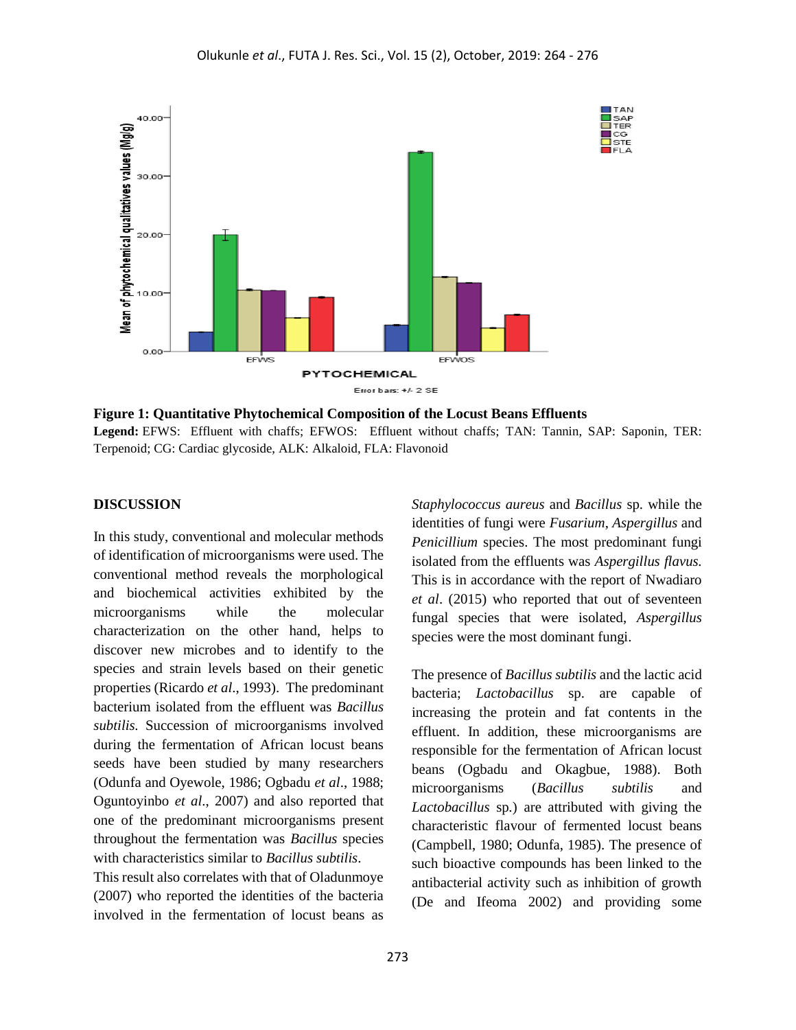

**Figure 1: Quantitative Phytochemical Composition of the Locust Beans Effluents Legend:** EFWS: Effluent with chaffs; EFWOS: Effluent without chaffs; TAN: Tannin, SAP: Saponin, TER: Terpenoid; CG: Cardiac glycoside, ALK: Alkaloid, FLA: Flavonoid

#### **DISCUSSION**

In this study, conventional and molecular methods of identification of microorganisms were used. The conventional method reveals the morphological and biochemical activities exhibited by the microorganisms while the molecular characterization on the other hand, helps to discover new microbes and to identify to the species and strain levels based on their genetic properties (Ricardo *et al*., 1993). The predominant bacterium isolated from the effluent was *Bacillus subtilis.* Succession of microorganisms involved during the fermentation of African locust beans seeds have been studied by many researchers (Odunfa and Oyewole, 1986; Ogbadu *et al*., 1988; Oguntoyinbo *et al*., 2007) and also reported that one of the predominant microorganisms present throughout the fermentation was *Bacillus* species with characteristics similar to *Bacillus subtilis*.

This result also correlates with that of Oladunmoye (2007) who reported the identities of the bacteria involved in the fermentation of locust beans as *[Staphylococcus](about:blank) aureus* and *Bacillus* sp. while the identities of fungi were *Fusarium*, *Aspergillus* and *Penicillium* species. The most predominant fungi isolated from the effluents was *Aspergillus flavus.*  This is in accordance with the report of Nwadiaro *et al*. (2015) who reported that out of seventeen fungal species that were isolated, *Aspergillus* species were the most dominant fungi.

The presence of *Bacillus subtilis* and the lactic acid bacteria; *Lactobacillus* sp. are capable of increasing the protein and fat contents in the effluent. In addition, these microorganisms are responsible for the fermentation of African locust beans (Ogbadu and Okagbue, 1988). Both microorganisms (*Bacillus subtilis* and *Lactobacillus* sp*.*) are attributed with giving the characteristic flavour of fermented locust beans (Campbell, 1980; Odunfa, 1985). The presence of such bioactive compounds has been linked to the antibacterial activity such as inhibition of growth (De and Ifeoma 2002) and providing some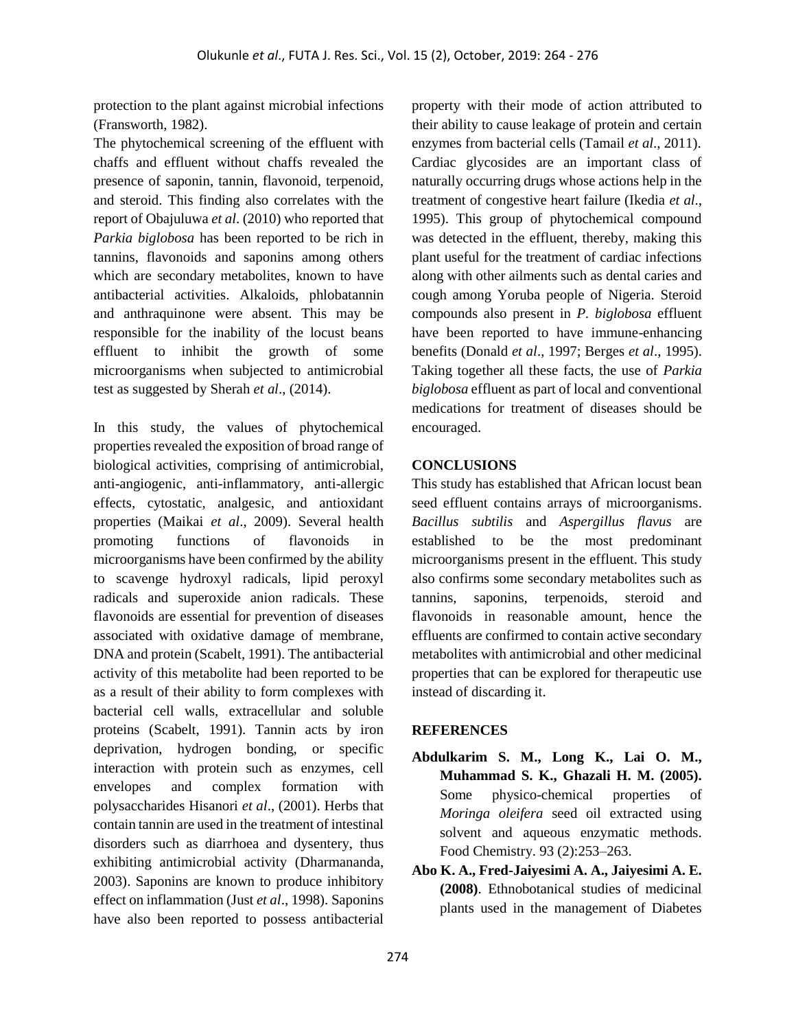protection to the plant against microbial infections (Fransworth, 1982).

The phytochemical screening of the effluent with chaffs and effluent without chaffs revealed the presence of saponin, tannin, flavonoid, terpenoid, and steroid. This finding also correlates with the report of Obajuluwa *et al*. (2010) who reported that *Parkia biglobosa* has been reported to be rich in tannins, flavonoids and saponins among others which are secondary metabolites, known to have antibacterial activities. Alkaloids, phlobatannin and anthraquinone were absent. This may be responsible for the inability of the locust beans effluent to inhibit the growth of some microorganisms when subjected to antimicrobial test as suggested by Sherah *et al*., (2014).

In this study, the values of phytochemical properties revealed the exposition of broad range of biological activities, comprising of antimicrobial, anti-angiogenic, anti-inflammatory, anti-allergic effects, cytostatic, analgesic, and antioxidant properties (Maikai *et al*., 2009). Several health promoting functions of flavonoids in microorganisms have been confirmed by the ability to scavenge hydroxyl radicals, lipid peroxyl radicals and superoxide anion radicals. These flavonoids are essential for prevention of diseases associated with oxidative damage of membrane, DNA and protein (Scabelt, 1991). The antibacterial activity of this metabolite had been reported to be as a result of their ability to form complexes with bacterial cell walls, extracellular and soluble proteins (Scabelt, 1991). Tannin acts by iron deprivation, hydrogen bonding, or specific interaction with protein such as enzymes, cell envelopes and complex formation with polysaccharides Hisanori *et al*., (2001). Herbs that contain tannin are used in the treatment of intestinal disorders such as diarrhoea and dysentery, thus exhibiting antimicrobial activity (Dharmananda, 2003). Saponins are known to produce inhibitory effect on inflammation (Just *et al*., 1998). Saponins have also been reported to possess antibacterial property with their mode of action attributed to their ability to cause leakage of protein and certain enzymes from bacterial cells (Tamail *et al*., 2011). Cardiac glycosides are an important class of naturally occurring drugs whose actions help in the treatment of congestive heart failure (Ikedia *et al*., 1995). This group of phytochemical compound was detected in the effluent, thereby, making this plant useful for the treatment of cardiac infections along with other ailments such as dental caries and cough among Yoruba people of Nigeria. Steroid compounds also present in *P. biglobosa* effluent have been reported to have immune-enhancing benefits (Donald *et al*., 1997; Berges *et al*., 1995). Taking together all these facts, the use of *Parkia biglobosa* effluent as part of local and conventional medications for treatment of diseases should be encouraged.

### **CONCLUSIONS**

This study has established that African locust bean seed effluent contains arrays of microorganisms. *Bacillus subtilis* and *Aspergillus flavus* are established to be the most predominant microorganisms present in the effluent. This study also confirms some secondary metabolites such as tannins, saponins, terpenoids, steroid and flavonoids in reasonable amount, hence the effluents are confirmed to contain active secondary metabolites with antimicrobial and other medicinal properties that can be explored for therapeutic use instead of discarding it.

### **REFERENCES**

- **Abdulkarim S. M., Long K., Lai O. M., Muhammad S. K., Ghazali H. M. (2005).** Some physico-chemical properties of *Moringa oleifera* seed oil extracted using solvent and aqueous enzymatic methods. Food Chemistry. 93 (2):253–263.
- **Abo K. A., Fred-Jaiyesimi A. A., Jaiyesimi A. E. (2008)**. Ethnobotanical studies of medicinal plants used in the management of Diabetes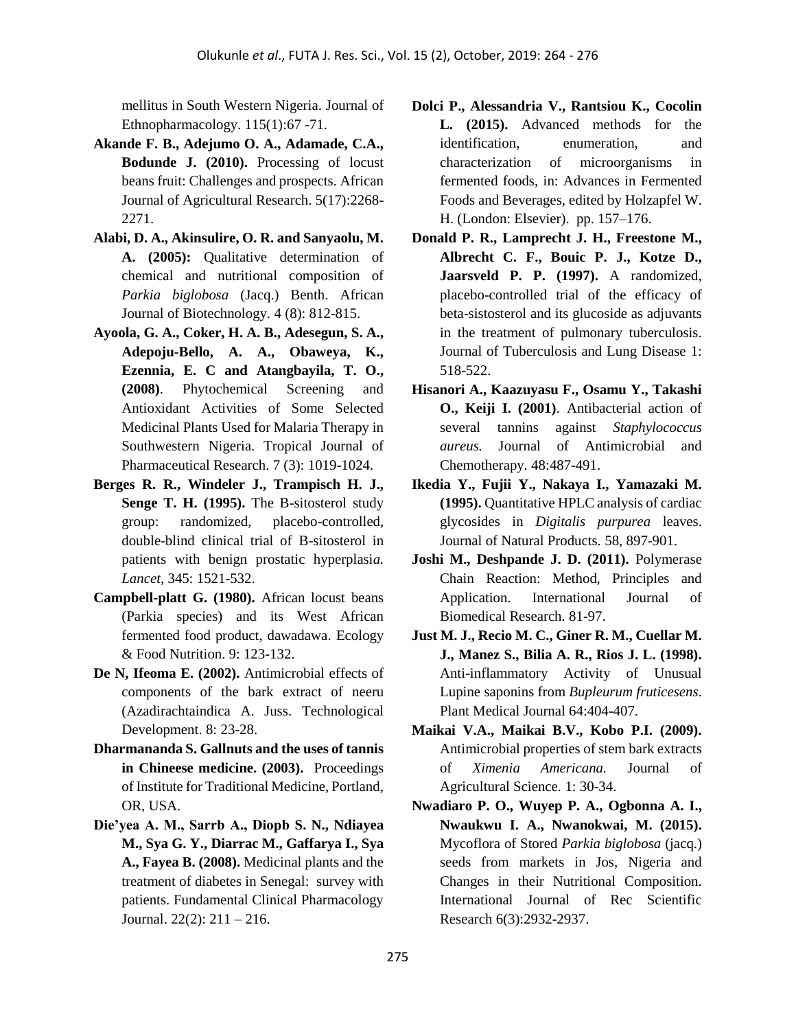mellitus in South Western Nigeria. Journal of Ethnopharmacology. 115(1):67 -71.

- **Akande F. B., Adejumo O. A., Adamade, C.A., Bodunde J. (2010).** Processing of locust beans fruit: Challenges and prospects. African Journal of Agricultural Research. 5(17):2268- 2271.
- **Alabi, D. A., Akinsulire, O. R. and Sanyaolu, M. A. (2005):** Qualitative determination of chemical and nutritional composition of *Parkia biglobosa* (Jacq.) Benth. African Journal of Biotechnology. 4 (8): 812-815.
- **Ayoola, G. A., Coker, H. A. B., Adesegun, S. A., Adepoju-Bello, A. A., Obaweya, K., Ezennia, E. C and Atangbayila, T. O., (2008)**. Phytochemical Screening and Antioxidant Activities of Some Selected Medicinal Plants Used for Malaria Therapy in Southwestern Nigeria. Tropical Journal of Pharmaceutical Research. 7 (3): 1019-1024.
- **Berges R. R., Windeler J., Trampisch H. J., Senge T. H. (1995).** The B-sitosterol study group: randomized, placebo-controlled, double-blind clinical trial of B-sitosterol in patients with benign prostatic hyperplasi*a. Lancet*, 345: 1521-532.
- **Campbell-platt G. (1980).** African locust beans (Parkia species) and its West African fermented food product, dawadawa. Ecology & Food Nutrition. 9: 123-132.
- **De N, Ifeoma E. (2002).** Antimicrobial effects of components of the bark extract of neeru (Azadirachtaindica A. Juss. Technological Development. 8: 23-28.
- **Dharmananda S. Gallnuts and the uses of tannis in Chineese medicine. (2003).** Proceedings of Institute for Traditional Medicine, Portland, OR, USA.
- **Die'yea A. M., Sarrb A., Diopb S. N., Ndiayea M., Sya G. Y., Diarrac M., Gaffarya I., Sya A., Fayea B. (2008).** Medicinal plants and the treatment of diabetes in Senegal: survey with patients. Fundamental Clinical Pharmacology Journal. 22(2): 211 – 216.
- **Dolci P., Alessandria V., Rantsiou K., Cocolin L. (2015).** Advanced methods for the identification, enumeration, and characterization of microorganisms in fermented foods, in: Advances in Fermented Foods and Beverages, edited by Holzapfel W. H. (London: Elsevier). pp. 157–176.
- **Donald P. R., Lamprecht J. H., Freestone M., Albrecht C. F., Bouic P. J., Kotze D., Jaarsveld P. P. (1997).** A randomized, placebo-controlled trial of the efficacy of beta-sistosterol and its glucoside as adjuvants in the treatment of pulmonary tuberculosis. Journal of Tuberculosis and Lung Disease 1: 518-522.
- **Hisanori A., Kaazuyasu F., Osamu Y., Takashi O., Keiji I. (2001)**. Antibacterial action of several tannins against *Staphylococcus aureus.* Journal of Antimicrobial and Chemotherapy*.* 48:487-491.
- **Ikedia Y., Fujii Y., Nakaya I., Yamazaki M. (1995).** Quantitative HPLC analysis of cardiac glycosides in *Digitalis purpurea* leaves. Journal of Natural Products. 58, 897-901.
- **Joshi M., Deshpande J. D. (2011).** Polymerase Chain Reaction: Method, Principles and Application. International Journal of Biomedical Research*.* 81-97.
- **Just M. J., Recio M. C., Giner R. M., Cuellar M. J., Manez S., Bilia A. R., Rios J. L. (1998).** Anti-inflammatory Activity of Unusual Lupine saponins from *Bupleurum fruticesens*. Plant Medical Journal 64:404-407.
- **Maikai V.A., Maikai B.V., Kobo P.I. (2009).** Antimicrobial properties of stem bark extracts of *Ximenia Americana.* Journal of Agricultural Science*.* 1: 30-34.
- **Nwadiaro P. O., Wuyep P. A., Ogbonna A. I., Nwaukwu I. A., Nwanokwai, M. (2015).** Mycoflora of Stored *Parkia biglobosa* (jacq.) seeds from markets in Jos, Nigeria and Changes in their Nutritional Composition. International Journal of Rec Scientific Research 6(3):2932-2937.